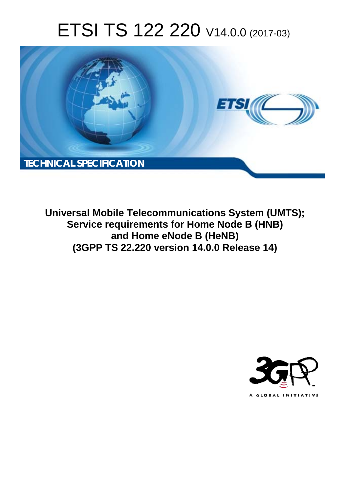# ETSI TS 122 220 V14.0.0 (2017-03)



**Universal Mobile Telecommunications System (UMTS); Service requirements for Home Node B (HNB) and Home eNode B (HeNB) (3GPP TS 22.220 version 14.0.0 Release 14)** 

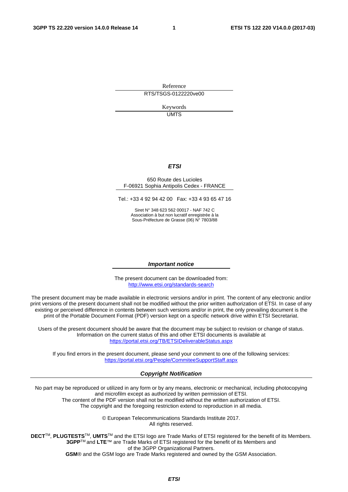Reference RTS/TSGS-0122220ve00

> Keywords UMTS

#### *ETSI*

#### 650 Route des Lucioles F-06921 Sophia Antipolis Cedex - FRANCE

Tel.: +33 4 92 94 42 00 Fax: +33 4 93 65 47 16

Siret N° 348 623 562 00017 - NAF 742 C Association à but non lucratif enregistrée à la Sous-Préfecture de Grasse (06) N° 7803/88

#### *Important notice*

The present document can be downloaded from: <http://www.etsi.org/standards-search>

The present document may be made available in electronic versions and/or in print. The content of any electronic and/or print versions of the present document shall not be modified without the prior written authorization of ETSI. In case of any existing or perceived difference in contents between such versions and/or in print, the only prevailing document is the print of the Portable Document Format (PDF) version kept on a specific network drive within ETSI Secretariat.

Users of the present document should be aware that the document may be subject to revision or change of status. Information on the current status of this and other ETSI documents is available at <https://portal.etsi.org/TB/ETSIDeliverableStatus.aspx>

If you find errors in the present document, please send your comment to one of the following services: <https://portal.etsi.org/People/CommiteeSupportStaff.aspx>

#### *Copyright Notification*

No part may be reproduced or utilized in any form or by any means, electronic or mechanical, including photocopying and microfilm except as authorized by written permission of ETSI.

The content of the PDF version shall not be modified without the written authorization of ETSI. The copyright and the foregoing restriction extend to reproduction in all media.

> © European Telecommunications Standards Institute 2017. All rights reserved.

**DECT**TM, **PLUGTESTS**TM, **UMTS**TM and the ETSI logo are Trade Marks of ETSI registered for the benefit of its Members. **3GPP**TM and **LTE**™ are Trade Marks of ETSI registered for the benefit of its Members and of the 3GPP Organizational Partners.

**GSM**® and the GSM logo are Trade Marks registered and owned by the GSM Association.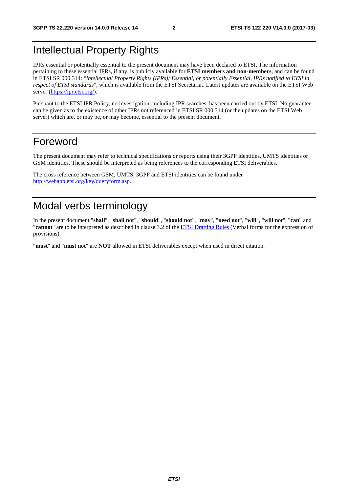### <span id="page-2-0"></span>Intellectual Property Rights

IPRs essential or potentially essential to the present document may have been declared to ETSI. The information pertaining to these essential IPRs, if any, is publicly available for **ETSI members and non-members**, and can be found in ETSI SR 000 314: *"Intellectual Property Rights (IPRs); Essential, or potentially Essential, IPRs notified to ETSI in respect of ETSI standards"*, which is available from the ETSI Secretariat. Latest updates are available on the ETSI Web server ([https://ipr.etsi.org/\)](https://ipr.etsi.org/).

Pursuant to the ETSI IPR Policy, no investigation, including IPR searches, has been carried out by ETSI. No guarantee can be given as to the existence of other IPRs not referenced in ETSI SR 000 314 (or the updates on the ETSI Web server) which are, or may be, or may become, essential to the present document.

### Foreword

The present document may refer to technical specifications or reports using their 3GPP identities, UMTS identities or GSM identities. These should be interpreted as being references to the corresponding ETSI deliverables.

The cross reference between GSM, UMTS, 3GPP and ETSI identities can be found under [http://webapp.etsi.org/key/queryform.asp.](http://webapp.etsi.org/key/queryform.asp)

### Modal verbs terminology

In the present document "**shall**", "**shall not**", "**should**", "**should not**", "**may**", "**need not**", "**will**", "**will not**", "**can**" and "**cannot**" are to be interpreted as described in clause 3.2 of the [ETSI Drafting Rules](https://portal.etsi.org/Services/editHelp!/Howtostart/ETSIDraftingRules.aspx) (Verbal forms for the expression of provisions).

"**must**" and "**must not**" are **NOT** allowed in ETSI deliverables except when used in direct citation.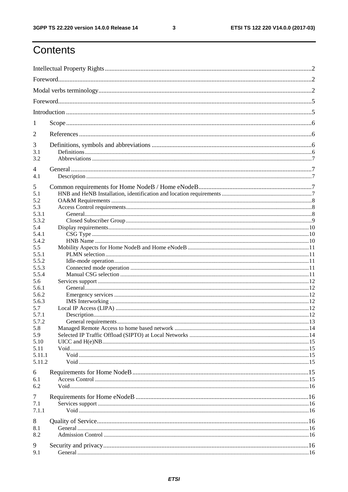$\mathbf{3}$ 

### Contents

| 1              |  |  |  |  |  |  |  |
|----------------|--|--|--|--|--|--|--|
| $\overline{2}$ |  |  |  |  |  |  |  |
| 3              |  |  |  |  |  |  |  |
| 3.1            |  |  |  |  |  |  |  |
| 3.2            |  |  |  |  |  |  |  |
| 4              |  |  |  |  |  |  |  |
| 4.1            |  |  |  |  |  |  |  |
| 5              |  |  |  |  |  |  |  |
| 5.1            |  |  |  |  |  |  |  |
| 5.2            |  |  |  |  |  |  |  |
| 5.3            |  |  |  |  |  |  |  |
| 5.3.1          |  |  |  |  |  |  |  |
| 5.3.2          |  |  |  |  |  |  |  |
| 5.4            |  |  |  |  |  |  |  |
| 5.4.1          |  |  |  |  |  |  |  |
| 5.4.2          |  |  |  |  |  |  |  |
| 5.5            |  |  |  |  |  |  |  |
| 5.5.1          |  |  |  |  |  |  |  |
| 5.5.2          |  |  |  |  |  |  |  |
| 5.5.3          |  |  |  |  |  |  |  |
| 5.5.4          |  |  |  |  |  |  |  |
| 5.6            |  |  |  |  |  |  |  |
| 5.6.1          |  |  |  |  |  |  |  |
| 5.6.2          |  |  |  |  |  |  |  |
| 5.6.3          |  |  |  |  |  |  |  |
| 5.7            |  |  |  |  |  |  |  |
| 5.7.1          |  |  |  |  |  |  |  |
| 5.7.2          |  |  |  |  |  |  |  |
| 5.8            |  |  |  |  |  |  |  |
| 5.9            |  |  |  |  |  |  |  |
| 5.10           |  |  |  |  |  |  |  |
| 5.11           |  |  |  |  |  |  |  |
| 5.11.1         |  |  |  |  |  |  |  |
| 5.11.2         |  |  |  |  |  |  |  |
| 6              |  |  |  |  |  |  |  |
| 6.1            |  |  |  |  |  |  |  |
| 6.2            |  |  |  |  |  |  |  |
|                |  |  |  |  |  |  |  |
| 7              |  |  |  |  |  |  |  |
| 7.1            |  |  |  |  |  |  |  |
| 7.1.1          |  |  |  |  |  |  |  |
| 8              |  |  |  |  |  |  |  |
| 8.1            |  |  |  |  |  |  |  |
| 8.2            |  |  |  |  |  |  |  |
|                |  |  |  |  |  |  |  |
| 9              |  |  |  |  |  |  |  |
| 9.1            |  |  |  |  |  |  |  |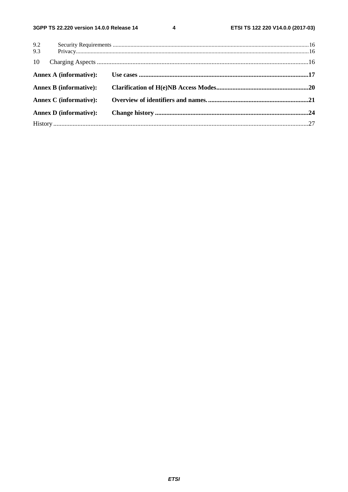$\overline{\mathbf{4}}$ 

| 9.2 |                               |  |
|-----|-------------------------------|--|
| 9.3 |                               |  |
| 10  |                               |  |
|     | <b>Annex A (informative):</b> |  |
|     | <b>Annex B</b> (informative): |  |
|     | <b>Annex C</b> (informative): |  |
|     | <b>Annex D</b> (informative): |  |
|     |                               |  |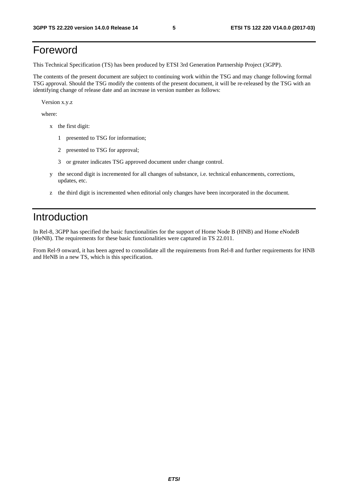### <span id="page-5-0"></span>Foreword

This Technical Specification (TS) has been produced by ETSI 3rd Generation Partnership Project (3GPP).

The contents of the present document are subject to continuing work within the TSG and may change following formal TSG approval. Should the TSG modify the contents of the present document, it will be re-released by the TSG with an identifying change of release date and an increase in version number as follows:

Version x.y.z

where:

- x the first digit:
	- 1 presented to TSG for information;
	- 2 presented to TSG for approval;
	- 3 or greater indicates TSG approved document under change control.
- y the second digit is incremented for all changes of substance, i.e. technical enhancements, corrections, updates, etc.
- z the third digit is incremented when editorial only changes have been incorporated in the document.

### Introduction

In Rel-8, 3GPP has specified the basic functionalities for the support of Home Node B (HNB) and Home eNodeB (HeNB). The requirements for these basic functionalities were captured in TS 22.011.

From Rel-9 onward, it has been agreed to consolidate all the requirements from Rel-8 and further requirements for HNB and HeNB in a new TS, which is this specification.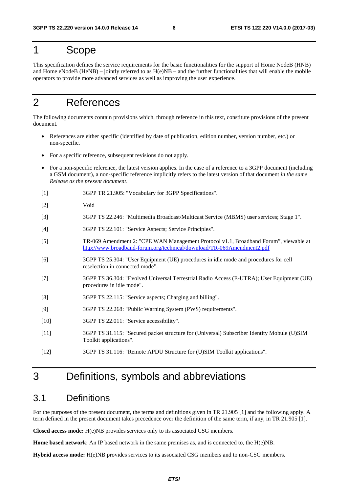### <span id="page-6-0"></span>1 Scope

This specification defines the service requirements for the basic functionalities for the support of Home NodeB (HNB) and Home eNodeB (HeNB) – jointly referred to as  $H(e)NB$  – and the further functionalities that will enable the mobile operators to provide more advanced services as well as improving the user experience.

### 2 References

The following documents contain provisions which, through reference in this text, constitute provisions of the present document.

- References are either specific (identified by date of publication, edition number, version number, etc.) or non-specific.
- For a specific reference, subsequent revisions do not apply.
- For a non-specific reference, the latest version applies. In the case of a reference to a 3GPP document (including a GSM document), a non-specific reference implicitly refers to the latest version of that document *in the same Release as the present document*.
- [1] 3GPP TR 21.905: "Vocabulary for 3GPP Specifications".
- [2] Void
- [3] 3GPP TS 22.246: "Multimedia Broadcast/Multicast Service (MBMS) user services; Stage 1".
- [4] 3GPP TS 22.101: "Service Aspects; Service Principles".
- [5] TR-069 Amendment 2: "CPE WAN Management Protocol v1.1, Broadband Forum", viewable at <http://www.broadband-forum.org/technical/download/TR-069Amendment2.pdf>
- [6] 3GPP TS 25.304: "User Equipment (UE) procedures in idle mode and procedures for cell reselection in connected mode".
- [7] 3GPP TS 36.304: "Evolved Universal Terrestrial Radio Access (E-UTRA); User Equipment (UE) procedures in idle mode".
- [8] 3GPP TS 22.115: "Service aspects; Charging and billing".
- [9] 3GPP TS 22.268: "Public Warning System (PWS) requirements".
- [10] 3GPP TS 22.011: "Service accessibility".
- [11] 3GPP TS 31.115: "Secured packet structure for (Universal) Subscriber Identity Mobule (U)SIM Toolkit applications".
- [12] 3GPP TS 31.116: "Remote APDU Structure for (U)SIM Toolkit applications".

### 3 Definitions, symbols and abbreviations

### 3.1 Definitions

For the purposes of the present document, the terms and definitions given in TR 21.905 [1] and the following apply. A term defined in the present document takes precedence over the definition of the same term, if any, in TR 21.905 [1].

**Closed access mode:** H(e)NB provides services only to its associated CSG members.

**Home based network**: An IP based network in the same premises as, and is connected to, the H(e)NB.

**Hybrid access mode:** H(e)NB provides services to its associated CSG members and to non-CSG members.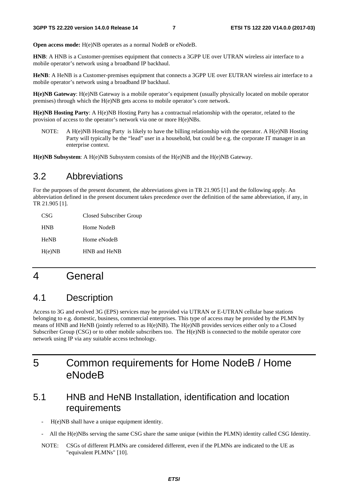<span id="page-7-0"></span>**Open access mode:** H(e)NB operates as a normal NodeB or eNodeB.

**HNB**: A HNB is a Customer-premises equipment that connects a 3GPP UE over UTRAN wireless air interface to a mobile operator's network using a broadband IP backhaul.

**HeNB**: A HeNB is a Customer-premises equipment that connects a 3GPP UE over EUTRAN wireless air interface to a mobile operator's network using a broadband IP backhaul.

**H(e)NB Gateway**: H(e)NB Gateway is a mobile operator's equipment (usually physically located on mobile operator premises) through which the H(e)NB gets access to mobile operator's core network.

**H(e)NB Hosting Party**: A H(e)NB Hosting Party has a contractual relationship with the operator, related to the provision of access to the operator's network via one or more H(e)NBs.

NOTE: A H(e)NB Hosting Party is likely to have the billing relationship with the operator. A H(e)NB Hosting Party will typically be the "lead" user in a household, but could be e.g. the corporate IT manager in an enterprise context.

**H(e)NB Subsystem**: A H(e)NB Subsystem consists of the H(e)NB and the H(e)NB Gateway.

#### 3.2 Abbreviations

For the purposes of the present document, the abbreviations given in TR 21.905 [1] and the following apply. An abbreviation defined in the present document takes precedence over the definition of the same abbreviation, if any, in TR 21.905 [1].

| CSG         | Closed Subscriber Group |
|-------------|-------------------------|
| <b>HNB</b>  | Home NodeB              |
| <b>HeNB</b> | Home eNodeB             |
| H(e)NB      | HNB and HeNB            |

### 4 General

### 4.1 Description

Access to 3G and evolved 3G (EPS) services may be provided via UTRAN or E-UTRAN cellular base stations belonging to e.g. domestic, business, commercial enterprises. This type of access may be provided by the PLMN by means of HNB and HeNB (jointly referred to as H(e)NB). The H(e)NB provides services either only to a Closed Subscriber Group (CSG) or to other mobile subscribers too. The H(e)NB is connected to the mobile operator core network using IP via any suitable access technology.

### 5 Common requirements for Home NodeB / Home eNodeB

### 5.1 HNB and HeNB Installation, identification and location requirements

H(e)NB shall have a unique equipment identity.

- All the H(e)NBs serving the same CSG share the same unique (within the PLMN) identity called CSG Identity.
- NOTE: CSGs of different PLMNs are considered different, even if the PLMNs are indicated to the UE as "equivalent PLMNs" [10].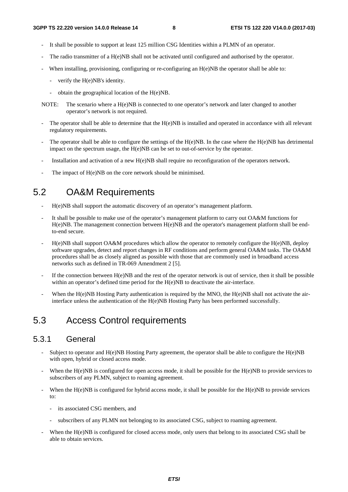- <span id="page-8-0"></span>It shall be possible to support at least 125 million CSG Identities within a PLMN of an operator.
- The radio transmitter of a  $H(e)NB$  shall not be activated until configured and authorised by the operator.
- When installing, provisioning, configuring or re-configuring an H(e)NB the operator shall be able to:
	- verify the H(e)NB's identity.
	- obtain the geographical location of the H(e)NB.
- NOTE: The scenario where a H(e)NB is connected to one operator's network and later changed to another operator's network is not required.
- The operator shall be able to determine that the  $H(e)NB$  is installed and operated in accordance with all relevant regulatory requirements.
- The operator shall be able to configure the settings of the  $H(e)NB$ . In the case where the  $H(e)NB$  has detrimental impact on the spectrum usage, the H(e)NB can be set to out-of-service by the operator.
- Installation and activation of a new H(e)NB shall require no reconfiguration of the operators network.
- The impact of H(e)NB on the core network should be minimised.

### 5.2 OA&M Requirements

- H(e)NB shall support the automatic discovery of an operator's management platform.
- It shall be possible to make use of the operator's management platform to carry out OA&M functions for H(e)NB. The management connection between H(e)NB and the operator's management platform shall be endto-end secure.
- H(e)NB shall support OA&M procedures which allow the operator to remotely configure the H(e)NB, deploy software upgrades, detect and report changes in RF conditions and perform general OA&M tasks. The OA&M procedures shall be as closely aligned as possible with those that are commonly used in broadband access networks such as defined in TR-069 Amendment 2 [5].
- If the connection between  $H(e)NB$  and the rest of the operator network is out of service, then it shall be possible within an operator's defined time period for the H(e)NB to deactivate the air-interface.
- When the  $H(e)NB$  Hosting Party authentication is required by the MNO, the  $H(e)NB$  shall not activate the airinterface unless the authentication of the H(e)NB Hosting Party has been performed successfully.

### 5.3 Access Control requirements

#### 5.3.1 General

- Subject to operator and  $H(e)NB$  Hosting Party agreement, the operator shall be able to configure the  $H(e)NB$ with open, hybrid or closed access mode.
- When the H(e)NB is configured for open access mode, it shall be possible for the H(e)NB to provide services to subscribers of any PLMN, subject to roaming agreement.
- When the H(e)NB is configured for hybrid access mode, it shall be possible for the H(e)NB to provide services to:
	- its associated CSG members, and
	- subscribers of any PLMN not belonging to its associated CSG, subject to roaming agreement.
- When the H(e)NB is configured for closed access mode, only users that belong to its associated CSG shall be able to obtain services.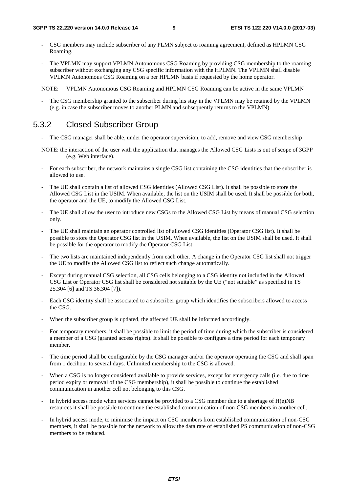- <span id="page-9-0"></span>- CSG members may include subscriber of any PLMN subject to roaming agreement, defined as HPLMN CSG Roaming.
- The VPLMN may support VPLMN Autonomous CSG Roaming by providing CSG membership to the roaming subscriber without exchanging any CSG specific information with the HPLMN. The VPLMN shall disable VPLMN Autonomous CSG Roaming on a per HPLMN basis if requested by the home operator.

NOTE: VPLMN Autonomous CSG Roaming and HPLMN CSG Roaming can be active in the same VPLMN

The CSG membership granted to the subscriber during his stay in the VPLMN may be retained by the VPLMN (e.g. in case the subscriber moves to another PLMN and subsequently returns to the VPLMN).

### 5.3.2 Closed Subscriber Group

- The CSG manager shall be able, under the operator supervision, to add, remove and view CSG membership
- NOTE: the interaction of the user with the application that manages the Allowed CSG Lists is out of scope of 3GPP (e.g. Web interface).
- For each subscriber, the network maintains a single CSG list containing the CSG identities that the subscriber is allowed to use.
- The UE shall contain a list of allowed CSG identities (Allowed CSG List). It shall be possible to store the Allowed CSG List in the USIM. When available, the list on the USIM shall be used. It shall be possible for both, the operator and the UE, to modify the Allowed CSG List.
- The UE shall allow the user to introduce new CSGs to the Allowed CSG List by means of manual CSG selection only.
- The UE shall maintain an operator controlled list of allowed CSG identities (Operator CSG list). It shall be possible to store the Operator CSG list in the USIM. When available, the list on the USIM shall be used. It shall be possible for the operator to modify the Operator CSG List.
- The two lists are maintained independently from each other. A change in the Operator CSG list shall not trigger the UE to modify the Allowed CSG list to reflect such change automatically.
- Except during manual CSG selection, all CSG cells belonging to a CSG identity not included in the Allowed CSG List or Operator CSG list shall be considered not suitable by the UE ("not suitable" as specified in TS 25.304 [6] and TS 36.304 [7]).
- Each CSG identity shall be associated to a subscriber group which identifies the subscribers allowed to access the CSG.
- When the subscriber group is updated, the affected UE shall be informed accordingly.
- For temporary members, it shall be possible to limit the period of time during which the subscriber is considered a member of a CSG (granted access rights). It shall be possible to configure a time period for each temporary member.
- The time period shall be configurable by the CSG manager and/or the operator operating the CSG and shall span from 1 decihour to several days. Unlimited membership to the CSG is allowed.
- When a CSG is no longer considered available to provide services, except for emergency calls (i.e. due to time period expiry or removal of the CSG membership), it shall be possible to continue the established communication in another cell not belonging to this CSG.
- In hybrid access mode when services cannot be provided to a CSG member due to a shortage of  $H(e)NB$ resources it shall be possible to continue the established communication of non-CSG members in another cell.
- In hybrid access mode, to minimise the impact on CSG members from established communication of non-CSG members, it shall be possible for the network to allow the data rate of established PS communication of non-CSG members to be reduced.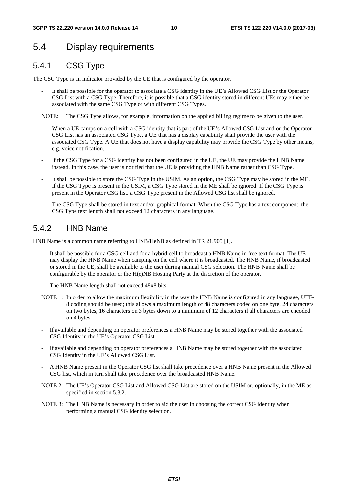### <span id="page-10-0"></span>5.4 Display requirements

### 5.4.1 CSG Type

The CSG Type is an indicator provided by the UE that is configured by the operator.

It shall be possible for the operator to associate a CSG identity in the UE's Allowed CSG List or the Operator CSG List with a CSG Type. Therefore, it is possible that a CSG identity stored in different UEs may either be associated with the same CSG Type or with different CSG Types.

NOTE: The CSG Type allows, for example, information on the applied billing regime to be given to the user.

- When a UE camps on a cell with a CSG identity that is part of the UE's Allowed CSG List and or the Operator CSG List has an associated CSG Type, a UE that has a display capability shall provide the user with the associated CSG Type. A UE that does not have a display capability may provide the CSG Type by other means, e.g. voice notification.
- If the CSG Type for a CSG identity has not been configured in the UE, the UE may provide the HNB Name instead. In this case, the user is notified that the UE is providing the HNB Name rather than CSG Type.
- It shall be possible to store the CSG Type in the USIM. As an option, the CSG Type may be stored in the ME. If the CSG Type is present in the USIM, a CSG Type stored in the ME shall be ignored. If the CSG Type is present in the Operator CSG list, a CSG Type present in the Allowed CSG list shall be ignored.
- The CSG Type shall be stored in text and/or graphical format. When the CSG Type has a text component, the CSG Type text length shall not exceed 12 characters in any language.

### 5.4.2 HNB Name

HNB Name is a common name referring to HNB/HeNB as defined in TR 21.905 [1].

- It shall be possible for a CSG cell and for a hybrid cell to broadcast a HNB Name in free text format. The UE may display the HNB Name when camping on the cell where it is broadcasted. The HNB Name, if broadcasted or stored in the UE, shall be available to the user during manual CSG selection. The HNB Name shall be configurable by the operator or the H(e)NB Hosting Party at the discretion of the operator.
- The HNB Name length shall not exceed 48x8 bits.
- NOTE 1: In order to allow the maximum flexibility in the way the HNB Name is configured in any language, UTF-8 coding should be used; this allows a maximum length of 48 characters coded on one byte, 24 characters on two bytes, 16 characters on 3 bytes down to a minimum of 12 characters if all characters are encoded on 4 bytes.
- If available and depending on operator preferences a HNB Name may be stored together with the associated CSG Identity in the UE's Operator CSG List.
- If available and depending on operator preferences a HNB Name may be stored together with the associated CSG Identity in the UE's Allowed CSG List.
- A HNB Name present in the Operator CSG list shall take precedence over a HNB Name present in the Allowed CSG list, which in turn shall take precedence over the broadcasted HNB Name.
- NOTE 2: The UE's Operator CSG List and Allowed CSG List are stored on the USIM or, optionally, in the ME as specified in section 5.3.2.
- NOTE 3: The HNB Name is necessary in order to aid the user in choosing the correct CSG identity when performing a manual CSG identity selection.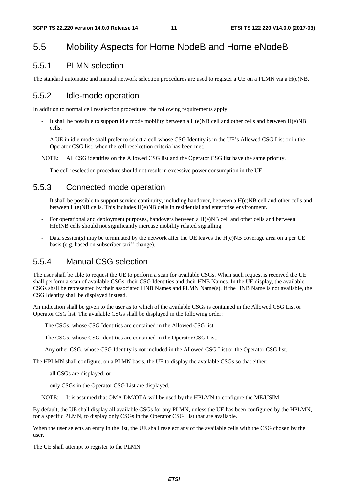### <span id="page-11-0"></span>5.5 Mobility Aspects for Home NodeB and Home eNodeB

#### 5.5.1 PLMN selection

The standard automatic and manual network selection procedures are used to register a UE on a PLMN via a H(e)NB.

#### 5.5.2 Idle-mode operation

In addition to normal cell reselection procedures, the following requirements apply:

- It shall be possible to support idle mode mobility between a  $H(e)NB$  cell and other cells and between  $H(e)NB$ cells.
- A UE in idle mode shall prefer to select a cell whose CSG Identity is in the UE's Allowed CSG List or in the Operator CSG list, when the cell reselection criteria has been met.

NOTE: All CSG identities on the Allowed CSG list and the Operator CSG list have the same priority.

The cell reselection procedure should not result in excessive power consumption in the UE.

#### 5.5.3 Connected mode operation

- It shall be possible to support service continuity, including handover, between a  $H(e)NB$  cell and other cells and between H(e)NB cells. This includes H(e)NB cells in residential and enterprise environment.
- For operational and deployment purposes, handovers between a H(e)NB cell and other cells and between H(e)NB cells should not significantly increase mobility related signalling.
- Data session(s) may be terminated by the network after the UE leaves the H(e)NB coverage area on a per UE basis (e.g. based on subscriber tariff change).

#### 5.5.4 Manual CSG selection

The user shall be able to request the UE to perform a scan for available CSGs. When such request is received the UE shall perform a scan of available CSGs, their CSG Identities and their HNB Names. In the UE display, the available CSGs shall be represented by their associated HNB Names and PLMN Name(s). If the HNB Name is not available, the CSG Identity shall be displayed instead.

An indication shall be given to the user as to which of the available CSGs is contained in the Allowed CSG List or Operator CSG list. The available CSGs shall be displayed in the following order:

- The CSGs, whose CSG Identities are contained in the Allowed CSG list.
- The CSGs, whose CSG Identities are contained in the Operator CSG List.
- Any other CSG, whose CSG Identity is not included in the Allowed CSG List or the Operator CSG list.

The HPLMN shall configure, on a PLMN basis, the UE to display the available CSGs so that either:

- all CSGs are displayed, or
- only CSGs in the Operator CSG List are displayed.
- NOTE: It is assumed that OMA DM/OTA will be used by the HPLMN to configure the ME/USIM

By default, the UE shall display all available CSGs for any PLMN, unless the UE has been configured by the HPLMN, for a specific PLMN, to display only CSGs in the Operator CSG List that are available.

When the user selects an entry in the list, the UE shall reselect any of the available cells with the CSG chosen by the user.

The UE shall attempt to register to the PLMN.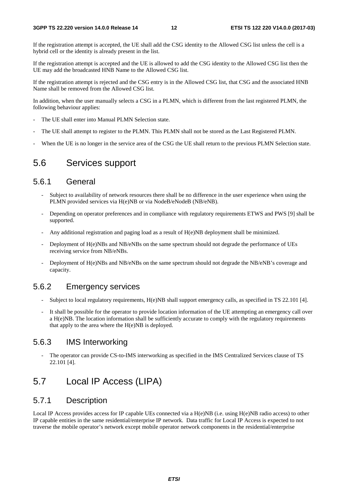<span id="page-12-0"></span>If the registration attempt is accepted, the UE shall add the CSG identity to the Allowed CSG list unless the cell is a hybrid cell or the identity is already present in the list.

If the registration attempt is accepted and the UE is allowed to add the CSG identity to the Allowed CSG list then the UE may add the broadcasted HNB Name to the Allowed CSG list.

If the registration attempt is rejected and the CSG entry is in the Allowed CSG list, that CSG and the associated HNB Name shall be removed from the Allowed CSG list.

In addition, when the user manually selects a CSG in a PLMN, which is different from the last registered PLMN, the following behaviour applies:

- The UE shall enter into Manual PLMN Selection state.
- The UE shall attempt to register to the PLMN. This PLMN shall not be stored as the Last Registered PLMN.
- When the UE is no longer in the service area of the CSG the UE shall return to the previous PLMN Selection state.

#### 5.6 Services support

#### 5.6.1 General

- Subject to availability of network resources there shall be no difference in the user experience when using the PLMN provided services via H(e)NB or via NodeB/eNodeB (NB/eNB).
- Depending on operator preferences and in compliance with regulatory requirements ETWS and PWS [9] shall be supported.
- Any additional registration and paging load as a result of H(e)NB deployment shall be minimized.
- Deployment of H(e)NBs and NB/eNBs on the same spectrum should not degrade the performance of UEs receiving service from NB/eNBs.
- Deployment of H(e)NBs and NB/eNBs on the same spectrum should not degrade the NB/eNB's coverage and capacity.

#### 5.6.2 Emergency services

- Subject to local regulatory requirements, H(e)NB shall support emergency calls, as specified in TS 22.101 [4].
- It shall be possible for the operator to provide location information of the UE attempting an emergency call over a H(e)NB. The location information shall be sufficiently accurate to comply with the regulatory requirements that apply to the area where the  $H(e)NB$  is deployed.

#### 5.6.3 IMS Interworking

The operator can provide CS-to-IMS interworking as specified in the IMS Centralized Services clause of TS 22.101 [4].

### 5.7 Local IP Access (LIPA)

#### 5.7.1 Description

Local IP Access provides access for IP capable UEs connected via a H(e)NB (i.e. using H(e)NB radio access) to other IP capable entities in the same residential/enterprise IP network. Data traffic for Local IP Access is expected to not traverse the mobile operator's network except mobile operator network components in the residential/enterprise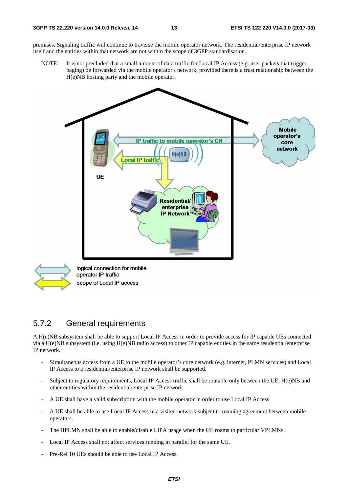<span id="page-13-0"></span>premises. Signaling traffic will continue to traverse the mobile operator network. The residential/enterprise IP network itself and the entities within that network are not within the scope of 3GPP standardisation.

NOTE: It is not precluded that a small amount of data traffic for Local IP Access (e.g. user packets that trigger paging) be forwarded via the mobile operator's network, provided there is a trust relationship between the H(e)NB hosting party and the mobile operator.





logical connection for mobile operator IP traffic scope of Local IP access

#### 5.7.2 General requirements

A H(e)NB subsystem shall be able to support Local IP Access in order to provide access for IP capable UEs connected via a H(e)NB subsystem (i.e. using H(e)NB radio access) to other IP capable entities in the same residential/enterprise IP network.

- Simultaneous access from a UE to the mobile operator's core network (e.g. internet, PLMN services) and Local IP Access to a residential/enterprise IP network shall be supported.
- Subject to regulatory requirements, Local IP Access traffic shall be routable only between the UE, H(e)NB and other entities within the residential/enterprise IP network.
- A UE shall have a valid subscription with the mobile operator in order to use Local IP Access.
- A UE shall be able to use Local IP Access in a visited network subject to roaming agreement between mobile operators.
- The HPLMN shall be able to enable/disable LIPA usage when the UE roams to particular VPLMNs.
- Local IP Access shall not affect services running in parallel for the same UE.
- Pre-Rel 10 UEs should be able to use Local IP Access.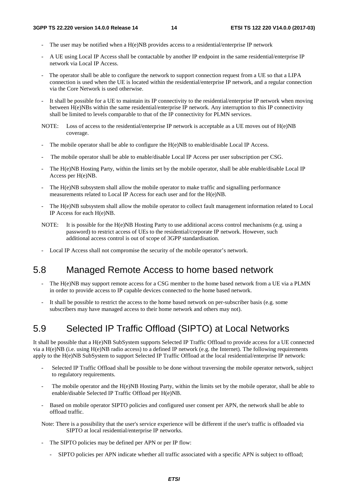- <span id="page-14-0"></span>The user may be notified when a  $H(e)NB$  provides access to a residential/enterprise IP network
- A UE using Local IP Access shall be contactable by another IP endpoint in the same residential/enterprise IP network via Local IP Access.
- The operator shall be able to configure the network to support connection request from a UE so that a LIPA connection is used when the UE is located within the residential/enterprise IP network, and a regular connection via the Core Network is used otherwise.
- It shall be possible for a UE to maintain its IP connectivity to the residential/enterprise IP network when moving between H(e)NBs within the same residential/enterprise IP network. Any interruption to this IP connectivity shall be limited to levels comparable to that of the IP connectivity for PLMN services.
- NOTE: Loss of access to the residential/enterprise IP network is acceptable as a UE moves out of H(e)NB coverage.
- The mobile operator shall be able to configure the H(e)NB to enable/disable Local IP Access.
- The mobile operator shall be able to enable/disable Local IP Access per user subscription per CSG.
- The H(e)NB Hosting Party, within the limits set by the mobile operator, shall be able enable/disable Local IP Access per H(e)NB.
- The H(e)NB subsystem shall allow the mobile operator to make traffic and signalling performance measurements related to Local IP Access for each user and for the H(e)NB.
- The H(e)NB subsystem shall allow the mobile operator to collect fault management information related to Local IP Access for each H(e)NB.
- NOTE: It is possible for the H(e)NB Hosting Party to use additional access control mechanisms (e.g. using a password) to restrict access of UEs to the residential/corporate IP network. However, such additional access control is out of scope of 3GPP standardisation.
- Local IP Access shall not compromise the security of the mobile operator's network.

### 5.8 Managed Remote Access to home based network

- The H(e)NB may support remote access for a CSG member to the home based network from a UE via a PLMN in order to provide access to IP capable devices connected to the home based network.
- It shall be possible to restrict the access to the home based network on per-subscriber basis (e.g. some subscribers may have managed access to their home network and others may not).

### 5.9 Selected IP Traffic Offload (SIPTO) at Local Networks

It shall be possible that a H(e)NB SubSystem supports Selected IP Traffic Offload to provide access for a UE connected via a H(e)NB (i.e. using H(e)NB radio access) to a defined IP network (e.g. the Internet). The following requirements apply to the H(e)NB SubSystem to support Selected IP Traffic Offload at the local residential/enterprise IP network:

- Selected IP Traffic Offload shall be possible to be done without traversing the mobile operator network, subject to regulatory requirements.
- The mobile operator and the  $H(e)NB$  Hosting Party, within the limits set by the mobile operator, shall be able to enable/disable Selected IP Traffic Offload per H(e)NB.
- Based on mobile operator SIPTO policies and configured user consent per APN, the network shall be able to offload traffic.

Note: There is a possibility that the user's service experience will be different if the user's traffic is offloaded via SIPTO at local residential/enterprise IP networks.

- The SIPTO policies may be defined per APN or per IP flow:
	- SIPTO policies per APN indicate whether all traffic associated with a specific APN is subject to offload;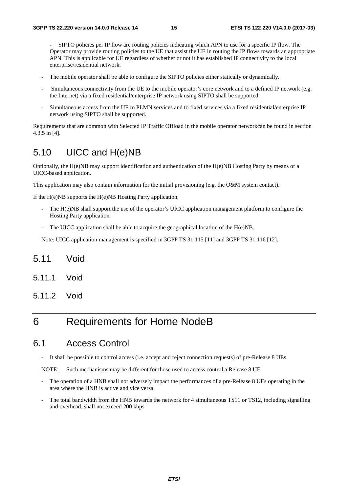<span id="page-15-0"></span> - SIPTO policies per IP flow are routing policies indicating which APN to use for a specific IP flow. The Operator may provide routing policies to the UE that assist the UE in routing the IP flows towards an appropriate APN. This is applicable for UE regardless of whether or not it has established IP connectivity to the local enterprise/residential network.

- The mobile operator shall be able to configure the SIPTO policies either statically or dynamically.
- Simultaneous connectivity from the UE to the mobile operator's core network and to a defined IP network (e.g. the Internet) via a fixed residential/enterprise IP network using SIPTO shall be supported.
- Simultaneous access from the UE to PLMN services and to fixed services via a fixed residential/enterprise IP network using SIPTO shall be supported.

Requirements that are common with Selected IP Traffic Offload in the mobile operator networkcan be found in section 4.3.5 in [4].

### 5.10 UICC and H(e)NB

Optionally, the H(e)NB may support identification and authentication of the H(e)NB Hosting Party by means of a UICC-based application.

This application may also contain information for the initial provisioning (e.g. the O&M system contact).

If the H(e)NB supports the H(e)NB Hosting Party application,

- The H(e)NB shall support the use of the operator's UICC application management platform to configure the Hosting Party application.
- The UICC application shall be able to acquire the geographical location of the  $H(e)NB$ .

Note: UICC application management is specified in 3GPP TS 31.115 [11] and 3GPP TS 31.116 [12].

- 5.11 Void
- 5.11.1 Void
- 5.11.2 Void

### 6 Requirements for Home NodeB

#### 6.1 Access Control

It shall be possible to control access (i.e. accept and reject connection requests) of pre-Release 8 UEs.

NOTE: Such mechanisms may be different for those used to access control a Release 8 UE.

- The operation of a HNB shall not adversely impact the performances of a pre-Release 8 UEs operating in the area where the HNB is active and vice versa.
- The total bandwidth from the HNB towards the network for 4 simultaneous TS11 or TS12, including signalling and overhead, shall not exceed 200 kbps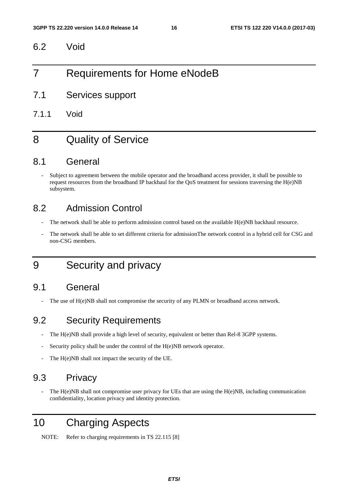<span id="page-16-0"></span>6.2 Void

### 7 Requirements for Home eNodeB

- 7.1 Services support
- 7.1.1 Void

### 8 Quality of Service

#### 8.1 General

Subject to agreement between the mobile operator and the broadband access provider, it shall be possible to request resources from the broadband IP backhaul for the QoS treatment for sessions traversing the  $H(e)NB$ subsystem.

### 8.2 Admission Control

- The network shall be able to perform admission control based on the available H(e)NB backhaul resource.
- The network shall be able to set different criteria for admissionThe network control in a hybrid cell for CSG and non-CSG members.

### 9 Security and privacy

#### 9.1 General

The use of  $H(e)NB$  shall not compromise the security of any PLMN or broadband access network.

### 9.2 Security Requirements

- The H(e)NB shall provide a high level of security, equivalent or better than Rel-8 3GPP systems.
- Security policy shall be under the control of the H(e)NB network operator.
- The H(e)NB shall not impact the security of the UE.

### 9.3 Privacy

The  $H(e)NB$  shall not compromise user privacy for UEs that are using the  $H(e)NB$ , including communication confidentiality, location privacy and identity protection.

### 10 Charging Aspects

NOTE: Refer to charging requirements in TS 22.115 [8]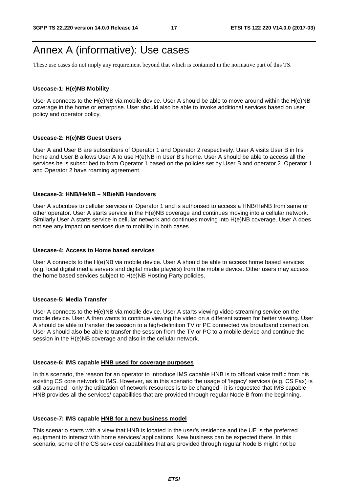### <span id="page-17-0"></span>Annex A (informative): Use cases

These use cases do not imply any requirement beyond that which is contained in the normative part of this TS.

#### **Usecase-1: H(e)NB Mobility**

User A connects to the H(e)NB via mobile device. User A should be able to move around within the H(e)NB coverage in the home or enterprise. User should also be able to invoke additional services based on user policy and operator policy.

#### **Usecase-2: H(e)NB Guest Users**

User A and User B are subscribers of Operator 1 and Operator 2 respectively. User A visits User B in his home and User B allows User A to use H(e)NB in User B's home. User A should be able to access all the services he is subscribed to from Operator 1 based on the policies set by User B and operator 2. Operator 1 and Operator 2 have roaming agreement.

#### **Usecase-3: HNB/HeNB – NB/eNB Handovers**

User A subcribes to cellular services of Operator 1 and is authorised to access a HNB/HeNB from same or other operator. User A starts service in the H(e)NB coverage and continues moving into a cellular network. Similarly User A starts service in cellular network and continues moving into H(e)NB coverage. User A does not see any impact on services due to mobility in both cases.

#### **Usecase-4: Access to Home based services**

User A connects to the H(e)NB via mobile device. User A should be able to access home based services (e.g. local digital media servers and digital media players) from the mobile device. Other users may access the home based services subject to H(e)NB Hosting Party policies.

#### **Usecase-5: Media Transfer**

User A connects to the H(e)NB via mobile device. User A starts viewing video streaming service on the mobile device. User A then wants to continue viewing the video on a different screen for better viewing. User A should be able to transfer the session to a high-definition TV or PC connected via broadband connection. User A should also be able to transfer the session from the TV or PC to a mobile device and continue the session in the H(e)NB coverage and also in the cellular network.

#### **Usecase-6: IMS capable HNB used for coverage purposes**

In this scenario, the reason for an operator to introduce IMS capable HNB is to offload voice traffic from his existing CS core network to IMS. However, as in this scenario the usage of 'legacy' services (e.g. CS Fax) is still assumed - only the utilization of network resources is to be changed - it is requested that IMS capable HNB provides all the services/ capabilities that are provided through regular Node B from the beginning.

#### **Usecase-7: IMS capable HNB for a new business model**

This scenario starts with a view that HNB is located in the user's residence and the UE is the preferred equipment to interact with home services/ applications. New business can be expected there. In this scenario, some of the CS services/ capabilities that are provided through regular Node B might not be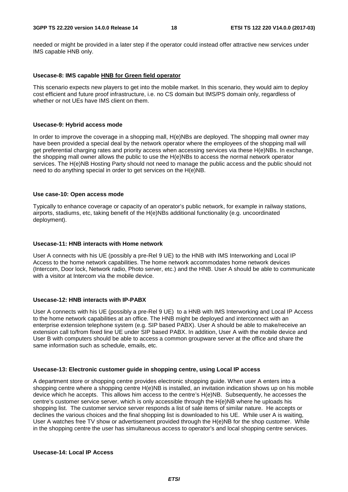needed or might be provided in a later step if the operator could instead offer attractive new services under IMS capable HNB only.

#### **Usecase-8: IMS capable HNB for Green field operator**

This scenario expects new players to get into the mobile market. In this scenario, they would aim to deploy cost efficient and future proof infrastructure, i.e. no CS domain but IMS/PS domain only, regardless of whether or not UEs have IMS client on them.

#### **Usecase-9: Hybrid access mode**

In order to improve the coverage in a shopping mall, H(e)NBs are deployed. The shopping mall owner may have been provided a special deal by the network operator where the employees of the shopping mall will get preferential charging rates and priority access when accessing services via these H(e)NBs. In exchange, the shopping mall owner allows the public to use the H(e)NBs to access the normal network operator services. The H(e)NB Hosting Party should not need to manage the public access and the public should not need to do anything special in order to get services on the H(e)NB.

#### **Use case-10: Open access mode**

Typically to enhance coverage or capacity of an operator's public network, for example in railway stations, airports, stadiums, etc, taking benefit of the H(e)NBs additional functionality (e.g. uncoordinated deployment).

#### **Usecase-11: HNB interacts with Home network**

User A connects with his UE (possibly a pre-Rel 9 UE) to the HNB with IMS Interworking and Local IP Access to the home network capabilities. The home network accommodates home network devices (Intercom, Door lock, Network radio, Photo server, etc.) and the HNB. User A should be able to communicate with a visitor at Intercom via the mobile device.

#### **Usecase-12: HNB interacts with IP-PABX**

User A connects with his UE (possibly a pre-Rel 9 UE) to a HNB with IMS Interworking and Local IP Access to the home network capabilities at an office. The HNB might be deployed and interconnect with an enterprise extension telephone system (e.g. SIP based PABX). User A should be able to make/receive an extension call to/from fixed line UE under SIP based PABX. In addition, User A with the mobile device and User B with computers should be able to access a common groupware server at the office and share the same information such as schedule, emails, etc.

#### **Usecase-13: Electronic customer guide in shopping centre, using Local IP access**

A department store or shopping centre provides electronic shopping guide. When user A enters into a shopping centre where a shopping centre H(e)NB is installed, an invitation indication shows up on his mobile device which he accepts. This allows him access to the centre's H(e)NB. Subsequently, he accesses the centre's customer service server, which is only accessible through the H(e)NB where he uploads his shopping list. The customer service server responds a list of sale items of similar nature. He accepts or declines the various choices and the final shopping list is downloaded to his UE. While user A is waiting, User A watches free TV show or advertisement provided through the H(e)NB for the shop customer. While in the shopping centre the user has simultaneous access to operator's and local shopping centre services.

#### **Usecase-14: Local IP Access**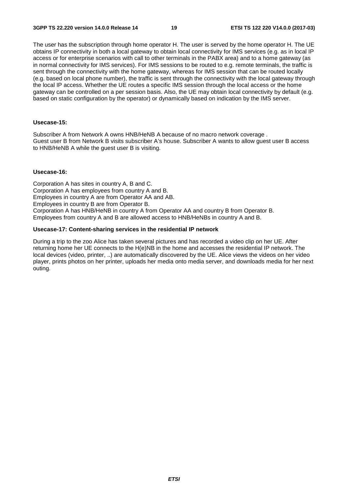The user has the subscription through home operator H. The user is served by the home operator H. The UE obtains IP connectivity in both a local gateway to obtain local connectivity for IMS services (e.g. as in local IP access or for enterprise scenarios with call to other terminals in the PABX area) and to a home gateway (as in normal connectivity for IMS services). For IMS sessions to be routed to e.g. remote terminals, the traffic is sent through the connectivity with the home gateway, whereas for IMS session that can be routed locally (e.g. based on local phone number), the traffic is sent through the connectivity with the local gateway through the local IP access. Whether the UE routes a specific IMS session through the local access or the home gateway can be controlled on a per session basis. Also, the UE may obtain local connectivity by default (e.g. based on static configuration by the operator) or dynamically based on indication by the IMS server.

#### **Usecase-15:**

Subscriber A from Network A owns HNB/HeNB A because of no macro network coverage . Guest user B from Network B visits subscriber A's house. Subscriber A wants to allow guest user B access to HNB/HeNB A while the guest user B is visiting.

#### **Usecase-16:**

Corporation A has sites in country A, B and C. Corporation A has employees from country A and B. Employees in country A are from Operator AA and AB. Employees in country B are from Operator B. Corporation A has HNB/HeNB in country A from Operator AA and country B from Operator B. Employees from country A and B are allowed access to HNB/HeNBs in country A and B.

#### **Usecase-17: Content-sharing services in the residential IP network**

During a trip to the zoo Alice has taken several pictures and has recorded a video clip on her UE. After returning home her UE connects to the H(e)NB in the home and accesses the residential IP network. The local devices (video, printer, ..) are automatically discovered by the UE. Alice views the videos on her video player, prints photos on her printer, uploads her media onto media server, and downloads media for her next outing.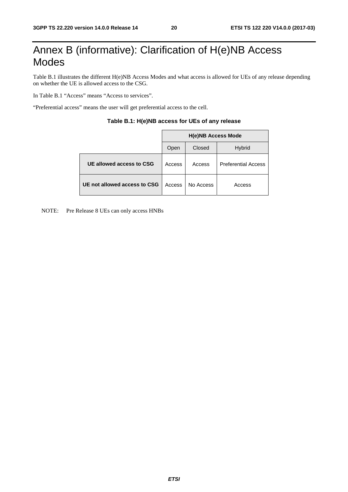### <span id="page-20-0"></span>Annex B (informative): Clarification of H(e)NB Access Modes

Table B.1 illustrates the different H(e)NB Access Modes and what access is allowed for UEs of any release depending on whether the UE is allowed access to the CSG.

In Table B.1 "Access" means "Access to services".

"Preferential access" means the user will get preferential access to the cell.

|                              | <b>H(e)NB Access Mode</b> |           |                            |  |  |
|------------------------------|---------------------------|-----------|----------------------------|--|--|
|                              | Open                      | Closed    | <b>Hybrid</b>              |  |  |
| UE allowed access to CSG     | Access                    | Access    | <b>Preferential Access</b> |  |  |
| UE not allowed access to CSG | Access                    | No Access | Access                     |  |  |

#### **Table B.1: H(e)NB access for UEs of any release**

NOTE: Pre Release 8 UEs can only access HNBs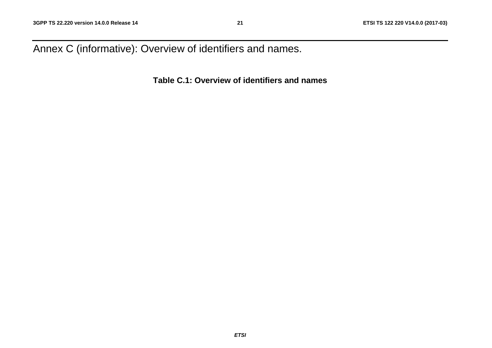<span id="page-21-0"></span>Annex C (informative): Overview of identifiers and names.

**Table C.1: Overview of identifiers and names**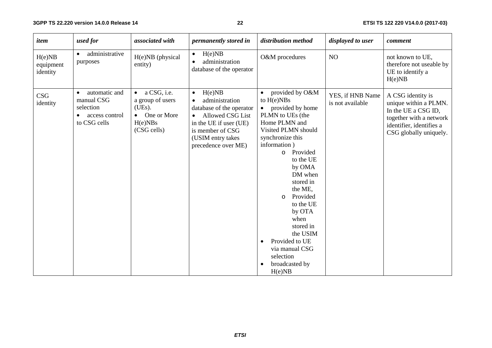#### **22 ETSI TS 122 220 V14.0.0 (2017-03)**

| item                            | used for                                                                   | associated with                                                                                   | <i>permanently stored in</i>                                                                                                                                                                   | distribution method                                                                                                                                                                                                                                                                                                                                                                                  | displayed to user                    | comment                                                                                                                                            |
|---------------------------------|----------------------------------------------------------------------------|---------------------------------------------------------------------------------------------------|------------------------------------------------------------------------------------------------------------------------------------------------------------------------------------------------|------------------------------------------------------------------------------------------------------------------------------------------------------------------------------------------------------------------------------------------------------------------------------------------------------------------------------------------------------------------------------------------------------|--------------------------------------|----------------------------------------------------------------------------------------------------------------------------------------------------|
| H(e)NB<br>equipment<br>identity | administrative<br>purposes                                                 | H(e)NB (physical<br>entity)                                                                       | H(e)NB<br>$\bullet$<br>administration<br>$\bullet$<br>database of the operator                                                                                                                 | O&M procedures                                                                                                                                                                                                                                                                                                                                                                                       | NO                                   | not known to UE,<br>therefore not useable by<br>UE to identify a<br>H(e)NB                                                                         |
| <b>CSG</b><br>identity          | automatic and<br>manual CSG<br>selection<br>access control<br>to CSG cells | a CSG, i.e.<br>$\bullet$<br>a group of users<br>(UEs).<br>• One or More<br>H(e)NBs<br>(CSG cells) | H(e)NB<br>$\bullet$<br>administration<br>$\bullet$<br>database of the operator<br>• Allowed CSG List<br>in the UE if user (UE)<br>is member of CSG<br>(USIM entry takes<br>precedence over ME) | provided by O&M<br>to $H(e)NBs$<br>provided by home<br>PLMN to UEs (the<br>Home PLMN and<br>Visited PLMN should<br>synchronize this<br>information)<br>o Provided<br>to the UE<br>by OMA<br>DM when<br>stored in<br>the ME,<br>Provided<br>$\circ$<br>to the UE<br>by OTA<br>when<br>stored in<br>the USIM<br>Provided to UE<br>$\bullet$<br>via manual CSG<br>selection<br>broadcasted by<br>H(e)NB | YES, if HNB Name<br>is not available | A CSG identity is<br>unique within a PLMN.<br>In the UE a CSG ID,<br>together with a network<br>identifier, identifies a<br>CSG globally uniquely. |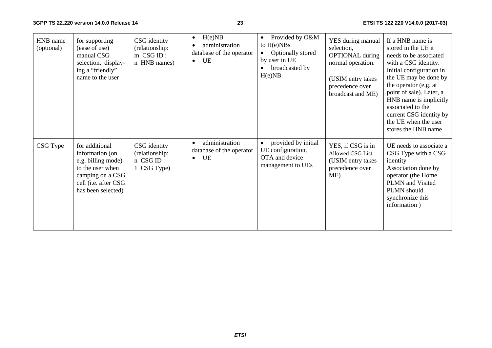**3GPP TS 22.220 version 14.0.0 Release 14**

#### **23 ETSI TS 122 220 V14.0.0 (2017-03)**

| HNB name<br>(optional) | for supporting<br>(ease of use)<br>manual CSG<br>selection, display-<br>ing a "friendly"<br>name to the user                                  | CSG identity<br>(relationship:<br>m CSG ID:<br>n HNB names) | H(e)NB<br>$\bullet$<br>administration<br>$\bullet$<br>database of the operator<br>UE<br>$\bullet$ | Provided by O&M<br>$\bullet$<br>to $H(e)NBs$<br>Optionally stored<br>by user in UE<br>broadcasted by<br>H(e)NB | YES during manual<br>selection,<br><b>OPTIONAL</b> during<br>normal operation.<br>(USIM entry takes<br>precedence over<br>broadcast and ME) | If a HNB name is<br>stored in the UE it<br>needs to be associated<br>with a CSG identity.<br>Initial configuration in<br>the UE may be done by<br>the operator (e.g. at<br>point of sale). Later, a<br>HNB name is implicitly<br>associated to the<br>current CSG identity by<br>the UE when the user<br>stores the HNB name |
|------------------------|-----------------------------------------------------------------------------------------------------------------------------------------------|-------------------------------------------------------------|---------------------------------------------------------------------------------------------------|----------------------------------------------------------------------------------------------------------------|---------------------------------------------------------------------------------------------------------------------------------------------|------------------------------------------------------------------------------------------------------------------------------------------------------------------------------------------------------------------------------------------------------------------------------------------------------------------------------|
| CSG Type               | for additional<br>information (on<br>e.g. billing mode)<br>to the user when<br>camping on a CSG<br>cell (i.e. after CSG<br>has been selected) | CSG identity<br>(relationship:<br>n CSG ID:<br>1 CSG Type)  | administration<br>$\bullet$<br>database of the operator<br><b>UE</b><br>$\bullet$                 | provided by initial<br>$\bullet$<br>UE configuration,<br>OTA and device<br>management to UEs                   | YES, if CSG is in<br>Allowed CSG List.<br>(USIM entry takes<br>precedence over<br>ME)                                                       | UE needs to associate a<br>CSG Type with a CSG<br>identity<br>Association done by<br>operator (the Home<br>PLMN and Visited<br>PLMN should<br>synchronize this<br>information)                                                                                                                                               |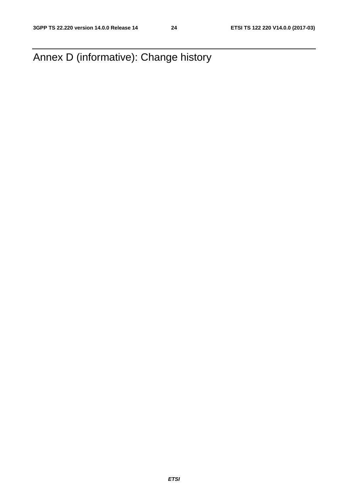<span id="page-24-0"></span>Annex D (informative): Change history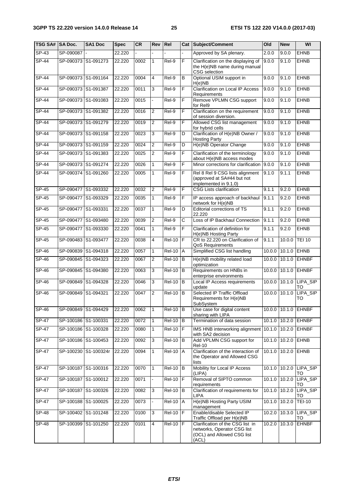| TSG SA# SA Doc. |                     | <b>SA1 Doc</b>       | <b>Spec</b> | CR   | Rev            | Rel                  | Cat                   | Subject/Comment                                                                                        | O <sub>Id</sub> | <b>New</b>      | WI                           |
|-----------------|---------------------|----------------------|-------------|------|----------------|----------------------|-----------------------|--------------------------------------------------------------------------------------------------------|-----------------|-----------------|------------------------------|
| $SP-43$         | SP-090087 -         |                      | 22.220      |      |                |                      |                       | Approved by SA plenary.                                                                                | 2.0.0           | 9.0.0           | <b>EHNB</b>                  |
| $SP-44$         |                     | SP-090373 S1-091273  | 22.220      | 0002 | 1              | Rel-9                | F                     | Clarification on the displaying of<br>the H(e)NB name during manual<br>CSG selection                   | 9.0.0           | 9.1.0           | <b>EHNB</b>                  |
| $SP-44$         |                     | SP-090373 S1-091164  | 22.220      | 0004 | 4              | Rel-9                | B                     | Optional USIM support in<br>H(e)NB                                                                     | 9.0.0           | 9.1.0           | <b>EHNB</b>                  |
| $SP-44$         |                     | SP-090373 S1-091387  | 22.220      | 0011 | 3              | Rel-9                | F                     | <b>Clarification on Local IP Access</b><br>Requirements                                                | 9.0.0           | 9.1.0           | <b>EHNB</b>                  |
| $SP-44$         |                     | SP-090373 S1-091083  | 22.220      | 0015 |                | Rel-9                | F                     | Remove VPLMN CSG support<br>for Rel9                                                                   | 9.0.0           | 9.1.0           | <b>EHNB</b>                  |
| $SP-44$         |                     | SP-090373 S1-091382  | 22.220      | 0016 | $\overline{2}$ | $Rel-9$              | F                     | Clarification on the requirement<br>of session diversion.                                              | 9.0.0           | 9.1.0           | <b>EHNB</b>                  |
| <b>SP-44</b>    |                     | SP-090373 S1-091279  | 22.220      | 0019 | $\overline{2}$ | Rel-9                | F                     | Allowed CSG list management<br>for hybrid cells                                                        | 9.0.0           | 9.1.0           | <b>EHNB</b>                  |
| $SP-44$         |                     | SP-090373 S1-091158  | 22.220      | 0023 | 3              | Rel-9                | D                     | Clarification of H(e)NB Owner /<br><b>Hosting Party</b>                                                | 9.0.0           | 9.1.0           | <b>EHNB</b>                  |
| <b>SP-44</b>    |                     | SP-090373 S1-091159  | 22.220      | 0024 | $\overline{2}$ | Rel-9                | D                     | H(e)NB Operator Change                                                                                 | 9.0.0           | 9.1.0           | <b>EHNB</b>                  |
| SP-44           |                     | SP-090373 S1-091383  | 22.220      | 0025 | 2              | Rel-9                | F                     | Clarification of the terminology<br>about H(e)NB access modes                                          | 9.0.0           | 9.1.0           | <b>EHNB</b>                  |
| $SP-44$         |                     | SP-090373 S1-091274  | 22.220      | 0026 | 1              | Rel-9                | F                     | Minor corrections for clarification                                                                    | 9.0.0           | 9.1.0           | <b>EHNB</b>                  |
| SP-44           |                     | SP-090374 S1-091260  | 22.220      | 0005 | 1              | Rel-9                | F                     | Rel 8 Rel 9 CSG lists alignment<br>(approved at SA#44 but not<br>implemented in 9.1.0)                 | 9.1.0           | 9.1.1           | <b>EHNB</b>                  |
| $SP-45$         |                     | SP-090477 S1-093332  | 22.220      | 0032 | $\overline{2}$ | Rel-9                | F                     | <b>CSG Lists clarification</b>                                                                         | 9.1.1           | 9.2.0           | <b>EHNB</b>                  |
| SP-45           |                     | SP-090477 S1-093329  | 22.220      | 0035 | 1              | Rel-9                | F                     | IP access approach of backhaul<br>network for H(e)NB                                                   | 9.1.1           | 9.2.0           | <b>EHNB</b>                  |
| <b>SP-45</b>    | SP-090477 S1-093331 |                      | 22.220      | 0037 | 1              | Rel-9                | D                     | Editorial corrections of TS<br>22.220                                                                  | 9.1.1           | 9.2.0           | <b>EHNB</b>                  |
| $SP-45$         |                     | SP-090477 S1-093480  | 22.220      | 0039 | $\overline{2}$ | Rel-9                | $\overline{\text{c}}$ | Loss of IP Backhaul Connection                                                                         | 9.1.1           | 9.2.0           | <b>EHNB</b>                  |
| $SP-45$         |                     | SP-090477 S1-093330  | 22.220      | 0041 | 1              | Rel-9                | F                     | Clarification of definition for<br>H(e)NB Hosting Party                                                | 9.1.1           | 9.2.0           | <b>EHNB</b>                  |
| $SP-45$         |                     | SP-090483 S1-093477  | 22.220      | 0038 | 4              | <b>Rel-10</b>        | ΙF                    | CR to 22.220 on Clarification of<br>QoS Requirements                                                   | 9.1.1           | 10.0.0          | <b>TEI 10</b>                |
| $SP-46$         |                     | SP-090839 S1-094318  | 22.220      | 0057 | 1              | <b>Rel-10</b>        | Α                     | Simplified CSG list handling                                                                           | 10.0.0          | 10.1.0          | <b>EHNB</b>                  |
| $SP-46$         |                     | SP-090845 S1-094323  | 22.220      | 0067 | 2              | <b>Rel-10</b>        | B                     | H(e)NB mobility related load<br>optimization                                                           | 10.0.0          | 10.1.0          | <b>EHNBF</b>                 |
| $SP-46$         |                     | SP-090845 S1-094380  | 22.220      | 0063 | $\mathbf{3}$   | <b>Rel-10</b>        | B                     | Requirements on HNBs in<br>enterprise environments                                                     | 10.0.0          |                 | 10.1.0 EHNBF                 |
| SP-46           |                     | SP-090849 S1-094328  | 22.220      | 0046 | 3              | <b>Rel-10</b>        | B                     | Local IP Access requirements<br>update                                                                 |                 |                 | 10.0.0 10.1.0 LIPA_SIP<br>то |
| $SP-46$         | SP-090849           | S1-094321            | 22.220      | 0047 | 2              | $\overline{Rel-10}$  | B                     | Selected IP Traffic Offload<br>Requirements for H(e)NB<br>SubSystem                                    | 10.0.0          | 10.1.0          | LIPA_SIP<br>TO               |
| <b>SP-46</b>    |                     | SP-090849 S1-094429  | 22.220      | 0062 | $\mathbf{1}$   | $ReI-10$             | B                     | Use case for digital content<br>sharing with LIPA                                                      |                 |                 | 10.0.0 10.1.0 EHNBF          |
| SP-47           |                     | SP-100186 S1-100331  | 22.220      | 0072 | 1              | <b>Rel-10</b>        | B                     | Termination of data session                                                                            |                 |                 | 10.1.0 10.2.0 EHNBF          |
| <b>SP-47</b>    |                     | SP-100186 S1-100328  | 22.220      | 0080 | $\mathbf{1}$   | <b>Rel-10</b>        | F                     | IMS HNB interworking alignment 10.1.0 10.2.0<br>with SA2 decision                                      |                 |                 | <b>EHNBF</b>                 |
| <b>SP-47</b>    |                     | SP-100186 S1-100453  | 22.220      | 0092 | $\mathbf{3}$   | <b>Rel-10</b>        | B                     | Add VPLMN CSG support for<br><b>Rel-10</b>                                                             |                 | 10.1.0 10.2.0   | <b>EHNB</b>                  |
| <b>SP-47</b>    |                     | SP-100230 S1-100324r | 22.220      | 0094 | $\mathbf{1}$   | $\overline{R}$ el-10 | <b>A</b>              | Clarification of the interaction of<br>the Operator and Allowed CSG<br>lists                           |                 | 10.1.0 10.2.0   | <b>EHNB</b>                  |
| <b>SP-47</b>    |                     | SP-100187 S1-100316  | 22.220      | 0070 | $\mathbf{1}$   | <b>Rel-10</b>        | lв.                   | Mobility for Local IP Access<br>(LIPA)                                                                 |                 |                 | 10.1.0 10.2.0 LIPA_SIP<br>TO |
| <b>SP-47</b>    |                     | SP-100187 S1-100012  | 22.220      | 0071 |                | $ReI-10$ $F$         |                       | Removal of SIPTO common<br>requirements                                                                |                 |                 | 10.1.0 10.2.0 LIPA_SIP<br>TO |
| SP-47           |                     | SP-100187 S1-100326  | 22.220      | 0082 | 3              | <b>Rel-10</b>        | B                     | Clarification of requirements for<br><b>LIPA</b>                                                       |                 | $10.1.0$ 10.2.0 | LIPA_SIP<br>то               |
| <b>SP-47</b>    |                     | SP-100188 S1-100025  | 22.220      | 0073 |                | <b>Rel-10</b>        | Α                     | H(e)NB Hosting Party USIM<br>management                                                                | 10.1.0          | 10.2.0          | <b>TEI-10</b>                |
| <b>SP-48</b>    |                     | SP-100402 S1-101248  | 22.220      | 0100 | 3              | <b>Rel-10</b>        | F                     | Enable/disable Selected IP<br>Traffic Offload per H(e)NB                                               |                 | 10.2.0 10.3.0   | LIPA_SIP<br>TO               |
| $SP-48$         |                     | SP-100399 S1-101250  | 22.220      | 0101 | 4              | <b>Rel-10</b>        | Ē                     | Clarification of the CSG list in<br>networks, Operator CSG list<br>(OCL) and Allowed CSG list<br>(ACL) |                 | 10.2.0 10.3.0   | <b>EHNBF</b>                 |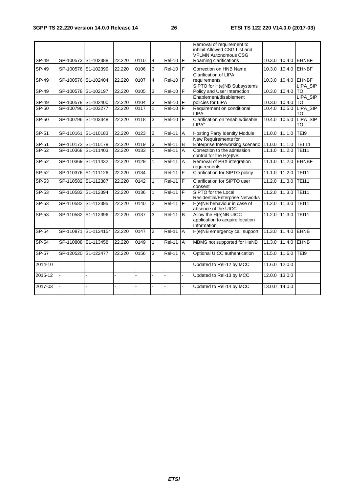|         |                     |                      |        |      |                |                    |                | Removal of requirement to<br>inhibit Allowed CSG List and               |        |              |                     |
|---------|---------------------|----------------------|--------|------|----------------|--------------------|----------------|-------------------------------------------------------------------------|--------|--------------|---------------------|
|         |                     |                      |        |      |                |                    |                | <b>VPLMN Autonomous CSG</b>                                             |        |              |                     |
| SP-49   | SP-100573 S1-102388 |                      | 22.220 | 0110 | $\overline{4}$ | $Rel-10$ $F$       |                | Roaming clarifications                                                  |        |              | 10.3.0 10.4.0 EHNBF |
| SP-49   | SP-100576 S1-102399 |                      | 22.220 | 0106 | 3              | <b>Rel-10</b>      | $\mathsf F$    | Correction on HNB Name                                                  | 10.3.0 |              | 10.4.0 EHNBF        |
|         |                     |                      |        |      |                |                    |                | <b>Clarification of LIPA</b>                                            |        |              |                     |
| SP-49   | SP-100576 S1-102404 |                      | 22.220 | 0107 | 4              | <b>Rel-10</b>      | F              | requirements                                                            |        |              | 10.3.0 10.4.0 EHNBF |
|         |                     |                      |        |      |                |                    |                | SIPTO for H(e)NB Subsystems                                             |        |              | LIPA_SIP            |
| SP-49   | SP-100578 S1-102197 |                      | 22.220 | 0105 | 3              | <b>Rel-10</b>      | F              | Policy and User Interaction                                             | 10.3.0 | 10.4.0       | <b>TO</b>           |
|         |                     |                      |        |      |                |                    |                | Enablement/disablement                                                  |        |              | LIPA_SIP            |
| SP-49   | SP-100578 S1-102400 |                      | 22.220 | 0104 | 3              | <b>Rel-10</b>      | F              | policies for LIPA                                                       | 10.3.0 | 10.4.0       | TO                  |
| $SP-50$ | SP-100796 S1-103277 |                      | 22.220 | 0117 | 1              | $Rel-10$           | F              | Requirement on conditional<br><b>LIPA</b>                               | 10.4.0 | 10.5.0       | LIPA SIP<br>TO      |
| SP-50   | SP-100796 S1-103348 |                      | 22.220 | 0118 | 3              | <b>Rel-10</b>      | F              | Clarification on "enable/disable<br>LIPA"                               | 10.4.0 | 10.5.0       | LIPA_SIP<br>TO      |
| SP-51   | SP-110161 S1-110183 |                      | 22.220 | 0123 | $\overline{2}$ | <b>Rel-11</b>      | A              | Hosting Party Identity Module                                           | 11.0.0 | 11.1.0       | TEI9                |
|         |                     |                      |        |      |                |                    |                | New Requirements for                                                    |        |              |                     |
| SP-51   | SP-110172 S1-110178 |                      | 22.220 | 0119 | 3              | <b>Rel-11</b>      | B              | Enterprise Interworking scenario 11.0.0 11.1.0 TEI 11                   |        |              |                     |
| $SP-52$ | SP-110368 S1-111403 |                      | 22.220 | 0133 | $\mathbf{1}$   | <b>Rel-11</b>      | A              | Correction to the admission<br>control for the H(e)NB                   | 11.1.0 | 11.2.0       | <b>TEI11</b>        |
| $SP-52$ | SP-110369 S1-111432 |                      | 22.220 | 0129 | $\mathbf{1}$   | <b>Rel-11</b>      | A              | Removal of PBX integration<br>requirements                              | 11.1.0 |              | 11.2.0 EHNBF        |
| $SP-52$ | SP-110376 S1-111126 |                      | 22.220 | 0134 |                | <b>Rel-11</b>      | E              | <b>Clarification for SIPTO policy</b>                                   | 11.1.0 | 11.2.0 TEI11 |                     |
| SP-53   | SP-110582 S1-112387 |                      | 22.220 | 0142 | 1              | $Rel-11$ $F$       |                | <b>Clarification for SIPTO user</b><br>consent                          | 11.2.0 | 11.3.0       | <b>TEI11</b>        |
| SP-53   | SP-110582 S1-112394 |                      | 22.220 | 0136 | 1              | $ReI-11$ F         |                | SIPTO for the Local<br><b>Residential/Enterprise Networks</b>           | 11.2.0 | 11.3.0 TEI11 |                     |
| $SP-53$ | SP-110582 S1-112395 |                      | 22.220 | 0140 | $\overline{2}$ | <b>Rel-11</b>      | F              | H(e)NB behaviour in case of<br>absence of the UICC                      | 11.2.0 | 11.3.0 TEI11 |                     |
| $SP-53$ | SP-110582 S1-112396 |                      | 22.220 | 0137 | 3              | <b>Rel-11</b>      | B              | Allow the H(e)NB UICC<br>application to acquire location<br>Information | 11.2.0 | 11.3.0 TEI11 |                     |
| SP-54   |                     | SP-110871 S1-113415r | 22.220 | 0147 | $\overline{2}$ | <b>Rel-11</b>      | $\overline{A}$ | H(e)NB emergency call support                                           | 11.3.0 | 11.4.0 EHNB  |                     |
| $SP-54$ | SP-110808 S1-113458 |                      | 22.220 | 0149 | $\mathbf{1}$   | <b>Rel-11</b>      | $\overline{A}$ | MBMS not supported for HeNB                                             | 11.3.0 | 11.4.0 EHNB  |                     |
| $SP-57$ | SP-120520 S1-122477 |                      | 22.220 | 0156 | 3              | $\overline{Rel11}$ | $\overline{A}$ | Optional UICC authentication                                            | 11.5.0 | 11.6.0       | TEI9                |
| 2014-10 |                     |                      |        |      |                |                    |                | Updated to Rel-12 by MCC                                                | 11.6.0 | 12.0.0       |                     |
| 2015-12 |                     |                      |        |      |                |                    |                | Updated to Rel-13 by MCC                                                | 12.0.0 | 13.0.0       |                     |
| 2017-03 |                     |                      |        |      |                |                    |                | Updated to Rel-14 by MCC                                                | 13.0.0 | 14.0.0       |                     |